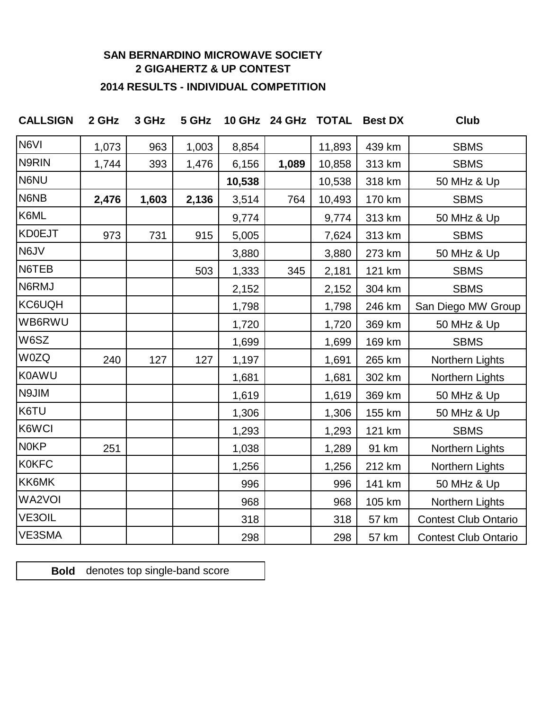## **SAN BERNARDINO MICROWAVE SOCIETY 2 GIGAHERTZ & UP CONTEST**

## **2014 RESULTS - INDIVIDUAL COMPETITION**

| <b>CALLSIGN</b>  | 2 GHz | 3 GHz | 5 GHz |        | 10 GHz 24 GHz TOTAL |        | <b>Best DX</b> | Club                        |
|------------------|-------|-------|-------|--------|---------------------|--------|----------------|-----------------------------|
| N6VI             | 1,073 | 963   | 1,003 | 8,854  |                     | 11,893 | 439 km         | <b>SBMS</b>                 |
| N9RIN            | 1,744 | 393   | 1,476 | 6,156  | 1,089               | 10,858 | 313 km         | <b>SBMS</b>                 |
| N6NU             |       |       |       | 10,538 |                     | 10,538 | 318 km         | 50 MHz & Up                 |
| N6NB             | 2,476 | 1,603 | 2,136 | 3,514  | 764                 | 10,493 | 170 km         | <b>SBMS</b>                 |
| K6ML             |       |       |       | 9,774  |                     | 9,774  | 313 km         | 50 MHz & Up                 |
| KD0EJT           | 973   | 731   | 915   | 5,005  |                     | 7,624  | 313 km         | <b>SBMS</b>                 |
| N6JV             |       |       |       | 3,880  |                     | 3,880  | 273 km         | 50 MHz & Up                 |
| N6TEB            |       |       | 503   | 1,333  | 345                 | 2,181  | 121 km         | <b>SBMS</b>                 |
| N6RMJ            |       |       |       | 2,152  |                     | 2,152  | 304 km         | <b>SBMS</b>                 |
| KC6UQH           |       |       |       | 1,798  |                     | 1,798  | 246 km         | San Diego MW Group          |
| WB6RWU           |       |       |       | 1,720  |                     | 1,720  | 369 km         | 50 MHz & Up                 |
| W6SZ             |       |       |       | 1,699  |                     | 1,699  | 169 km         | <b>SBMS</b>                 |
| <b>W0ZQ</b>      | 240   | 127   | 127   | 1,197  |                     | 1,691  | 265 km         | Northern Lights             |
| K0AWU            |       |       |       | 1,681  |                     | 1,681  | 302 km         | Northern Lights             |
| N9JIM            |       |       |       | 1,619  |                     | 1,619  | 369 km         | 50 MHz & Up                 |
| K6TU             |       |       |       | 1,306  |                     | 1,306  | 155 km         | 50 MHz & Up                 |
| K6WCI            |       |       |       | 1,293  |                     | 1,293  | 121 km         | <b>SBMS</b>                 |
| N <sub>0KP</sub> | 251   |       |       | 1,038  |                     | 1,289  | 91 km          | Northern Lights             |
| <b>KOKFC</b>     |       |       |       | 1,256  |                     | 1,256  | 212 km         | Northern Lights             |
| KK6MK            |       |       |       | 996    |                     | 996    | 141 km         | 50 MHz & Up                 |
| <b>WA2VOI</b>    |       |       |       | 968    |                     | 968    | 105 km         | Northern Lights             |
| VE3OIL           |       |       |       | 318    |                     | 318    | 57 km          | <b>Contest Club Ontario</b> |
| VE3SMA           |       |       |       | 298    |                     | 298    | 57 km          | <b>Contest Club Ontario</b> |

**Bold** denotes top single-band score